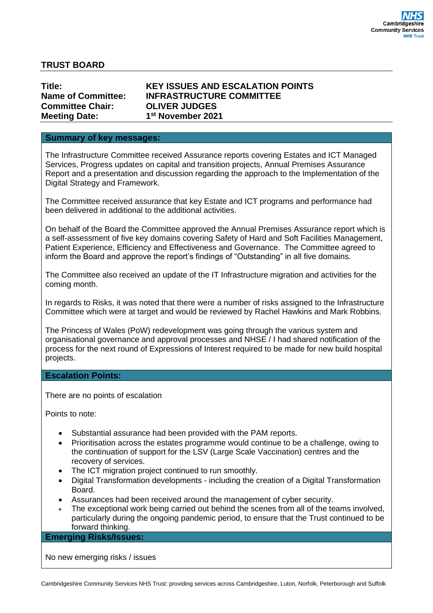## **TRUST BOARD**

| Title:                    | ĸ  |
|---------------------------|----|
| <b>Name of Committee:</b> | II |
| <b>Committee Chair:</b>   | C  |
| <b>Meeting Date:</b>      | 1  |

### **Title: KEY ISSUES AND ESCALATION POINTS INFRASTRUCTURE COMMITTEE Committee Chair: OLIVER JUDGES st November 2021**

#### **Summary of key messages:**

The Infrastructure Committee received Assurance reports covering Estates and ICT Managed Services, Progress updates on capital and transition projects, Annual Premises Assurance Report and a presentation and discussion regarding the approach to the Implementation of the Digital Strategy and Framework.

The Committee received assurance that key Estate and ICT programs and performance had been delivered in additional to the additional activities.

On behalf of the Board the Committee approved the Annual Premises Assurance report which is a self-assessment of five key domains covering Safety of Hard and Soft Facilities Management, Patient Experience, Efficiency and Effectiveness and Governance. The Committee agreed to inform the Board and approve the report's findings of "Outstanding" in all five domains.

The Committee also received an update of the IT Infrastructure migration and activities for the coming month.

In regards to Risks, it was noted that there were a number of risks assigned to the Infrastructure Committee which were at target and would be reviewed by Rachel Hawkins and Mark Robbins.

The Princess of Wales (PoW) redevelopment was going through the various system and organisational governance and approval processes and NHSE / I had shared notification of the process for the next round of Expressions of Interest required to be made for new build hospital projects.

#### **Escalation Points:**

There are no points of escalation

Points to note:

- Substantial assurance had been provided with the PAM reports.
- Prioritisation across the estates programme would continue to be a challenge, owing to the continuation of support for the LSV (Large Scale Vaccination) centres and the recovery of services.
- The ICT migration project continued to run smoothly.
- Digital Transformation developments including the creation of a Digital Transformation Board.
- Assurances had been received around the management of cyber security.
- The exceptional work being carried out behind the scenes from all of the teams involved, particularly during the ongoing pandemic period, to ensure that the Trust continued to be forward thinking.

**Emerging Risks/Issues:**

No new emerging risks / issues